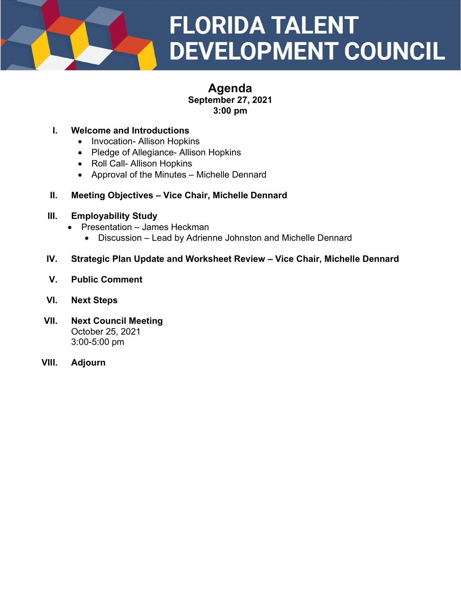

# Agenda September 27, 2021 3:00 pm

### I. Welcome and Introductions

- Invocation- Allison Hopkins
- Pledge of Allegiance- Allison Hopkins
- Roll Call- Allison Hopkins
- Approval of the Minutes Michelle Dennard

#### II. Meeting Objectives – Vice Chair, Michelle Dennard

#### III. Employability Study

- Presentation James Heckman
	- Discussion Lead by Adrienne Johnston and Michelle Dennard

#### IV. Strategic Plan Update and Worksheet Review – Vice Chair, Michelle Dennard

V. Public Comment

### VI. Next Steps

- VII. Next Council Meeting October 25, 2021 3:00-5:00 pm
- VIII. Adjourn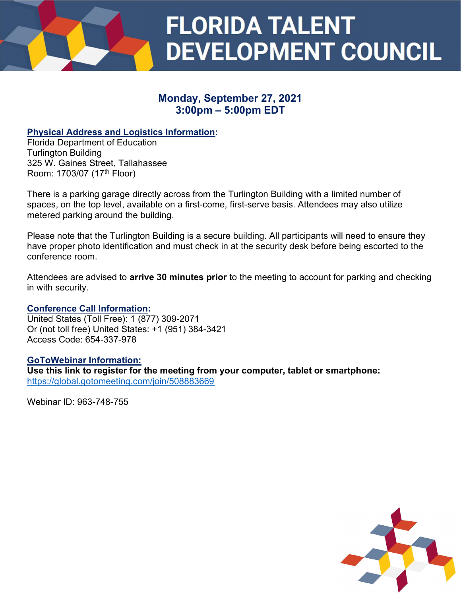

# Monday, September 27, 2021 3:00pm – 5:00pm EDT

# Physical Address and Logistics Information:

Florida Department of Education Turlington Building 325 W. Gaines Street, Tallahassee Room: 1703/07 (17th Floor)

There is a parking garage directly across from the Turlington Building with a limited number of spaces, on the top level, available on a first-come, first-serve basis. Attendees may also utilize metered parking around the building.

Please note that the Turlington Building is a secure building. All participants will need to ensure they have proper photo identification and must check in at the security desk before being escorted to the conference room.

Attendees are advised to **arrive 30 minutes prior** to the meeting to account for parking and checking in with security.

#### Conference Call Information:

United States (Toll Free): 1 (877) 309-2071 Or (not toll free) United States: +1 (951) 384-3421 Access Code: 654-337-978

#### GoToWebinar Information:

Use this link to register for the meeting from your computer, tablet or smartphone: https://global.gotomeeting.com/join/508883669

Webinar ID: 963-748-755

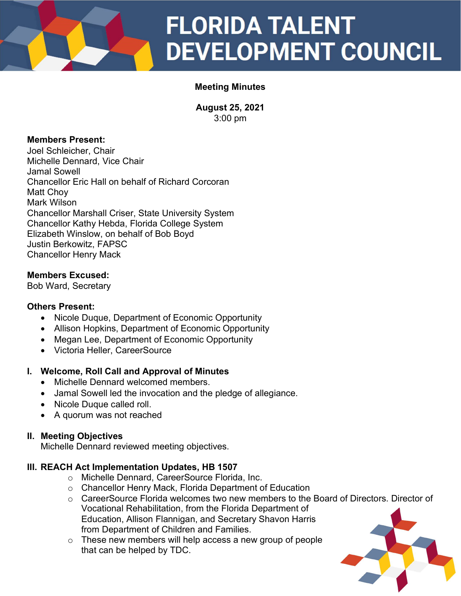# **FLORIDA TALENT DEVELOPMENT COUNCIL**

# Meeting Minutes

August 25, 2021 3:00 pm

# Members Present:

Joel Schleicher, Chair Michelle Dennard, Vice Chair Jamal Sowell Chancellor Eric Hall on behalf of Richard Corcoran Matt Choy Mark Wilson Chancellor Marshall Criser, State University System Chancellor Kathy Hebda, Florida College System Elizabeth Winslow, on behalf of Bob Boyd Justin Berkowitz, FAPSC Chancellor Henry Mack

# Members Excused:

Bob Ward, Secretary

# Others Present:

- Nicole Duque, Department of Economic Opportunity
- Allison Hopkins, Department of Economic Opportunity
- Megan Lee, Department of Economic Opportunity
- Victoria Heller, CareerSource

# I. Welcome, Roll Call and Approval of Minutes

- Michelle Dennard welcomed members.
- Jamal Sowell led the invocation and the pledge of allegiance.
- Nicole Duque called roll.
- A quorum was not reached

# II. Meeting Objectives

Michelle Dennard reviewed meeting objectives.

# III. REACH Act Implementation Updates, HB 1507

- o Michelle Dennard, CareerSource Florida, Inc.
- o Chancellor Henry Mack, Florida Department of Education
- o CareerSource Florida welcomes two new members to the Board of Directors. Director of Vocational Rehabilitation, from the Florida Department of Education, Allison Flannigan, and Secretary Shavon Harris from Department of Children and Families.
- $\circ$  These new members will help access a new group of people that can be helped by TDC.

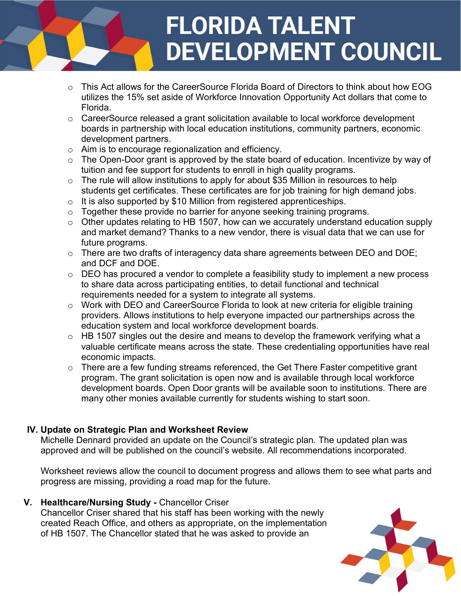# **FLORIDA TALENT DEVELOPMENT COUNCIL**

- o This Act allows for the CareerSource Florida Board of Directors to think about how EOG utilizes the 15% set aside of Workforce Innovation Opportunity Act dollars that come to Florida.
- o CareerSource released a grant solicitation available to local workforce development boards in partnership with local education institutions, community partners, economic development partners.
- o Aim is to encourage regionalization and efficiency.
- $\circ$  The Open-Door grant is approved by the state board of education. Incentivize by way of tuition and fee support for students to enroll in high quality programs.
- $\circ$  The rule will allow institutions to apply for about \$35 Million in resources to help students get certificates. These certificates are for job training for high demand jobs.
- $\circ$  It is also supported by \$10 Million from registered apprenticeships.
- o Together these provide no barrier for anyone seeking training programs.
- $\circ$  Other updates relating to HB 1507, how can we accurately understand education supply and market demand? Thanks to a new vendor, there is visual data that we can use for future programs.
- o There are two drafts of interagency data share agreements between DEO and DOE; and DCF and DOE.
- $\circ$  DEO has procured a vendor to complete a feasibility study to implement a new process to share data across participating entities, to detail functional and technical requirements needed for a system to integrate all systems.
- o Work with DEO and CareerSource Florida to look at new criteria for eligible training providers. Allows institutions to help everyone impacted our partnerships across the education system and local workforce development boards.
- $\circ$  HB 1507 singles out the desire and means to develop the framework verifying what a valuable certificate means across the state. These credentialing opportunities have real economic impacts.
- o There are a few funding streams referenced, the Get There Faster competitive grant program. The grant solicitation is open now and is available through local workforce development boards. Open Door grants will be available soon to institutions. There are many other monies available currently for students wishing to start soon.

# IV. Update on Strategic Plan and Worksheet Review

Michelle Dennard provided an update on the Council's strategic plan. The updated plan was approved and will be published on the council's website. All recommendations incorporated.

Worksheet reviews allow the council to document progress and allows them to see what parts and progress are missing, providing a road map for the future.

V. Healthcare/Nursing Study - Chancellor Criser

Chancellor Criser shared that his staff has been working with the newly created Reach Office, and others as appropriate, on the implementation of HB 1507. The Chancellor stated that he was asked to provide an

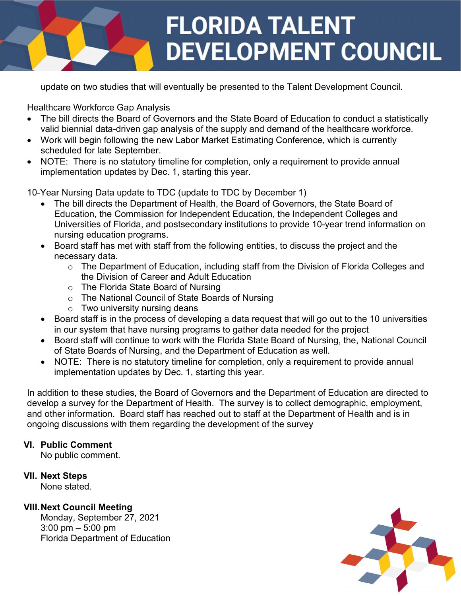

update on two studies that will eventually be presented to the Talent Development Council.

Healthcare Workforce Gap Analysis

- The bill directs the Board of Governors and the State Board of Education to conduct a statistically valid biennial data-driven gap analysis of the supply and demand of the healthcare workforce.
- Work will begin following the new Labor Market Estimating Conference, which is currently scheduled for late September.
- NOTE: There is no statutory timeline for completion, only a requirement to provide annual implementation updates by Dec. 1, starting this year.

10-Year Nursing Data update to TDC (update to TDC by December 1)

- The bill directs the Department of Health, the Board of Governors, the State Board of Education, the Commission for Independent Education, the Independent Colleges and Universities of Florida, and postsecondary institutions to provide 10-year trend information on nursing education programs.
- Board staff has met with staff from the following entities, to discuss the project and the necessary data.
	- o The Department of Education, including staff from the Division of Florida Colleges and the Division of Career and Adult Education
	- o The Florida State Board of Nursing
	- o The National Council of State Boards of Nursing
	- $\circ$  Two university nursing deans
- Board staff is in the process of developing a data request that will go out to the 10 universities in our system that have nursing programs to gather data needed for the project
- Board staff will continue to work with the Florida State Board of Nursing, the, National Council of State Boards of Nursing, and the Department of Education as well.
- NOTE: There is no statutory timeline for completion, only a requirement to provide annual implementation updates by Dec. 1, starting this year.

In addition to these studies, the Board of Governors and the Department of Education are directed to develop a survey for the Department of Health. The survey is to collect demographic, employment, and other information. Board staff has reached out to staff at the Department of Health and is in ongoing discussions with them regarding the development of the survey

# VI. Public Comment

No public comment.

# VII. Next Steps

None stated.

# VIII. Next Council Meeting

Monday, September 27, 2021 3:00 pm – 5:00 pm Florida Department of Education